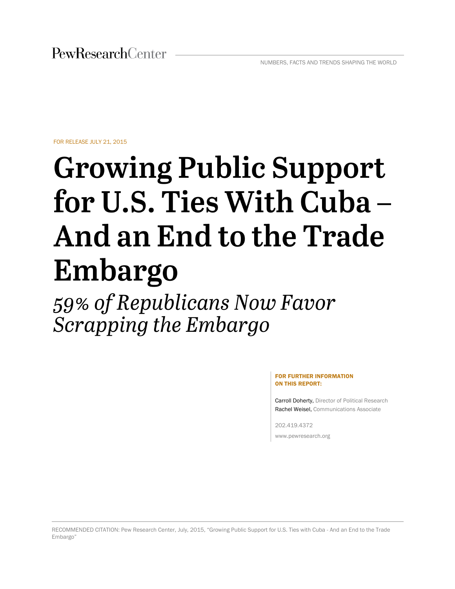FOR RELEASE JULY 21, 2015

# **Growing Public Support** for U.S. Ties With Cuba -And an End to the Trade Embargo

59% of Republicans Now Favor Scrapping the Embargo

> FOR FURTHER INFORMATION ON THIS REPORT:

Carroll Doherty, Director of Political Research Rachel Weisel, Communications Associate

202.419.4372 www.pewresearch.org

RECOMMENDED CITATION: Pew Research Center, July, 2015, "Growing Public Support for U.S. Ties with Cuba - And an End to the Trade Embargo"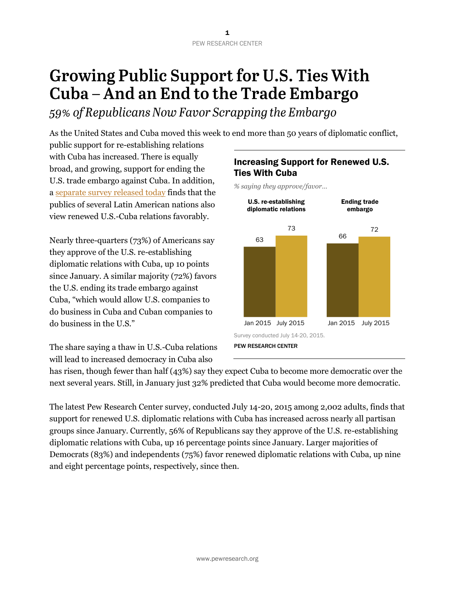# **Growing Public Support for U.S. Ties With** Cuba - And an End to the Trade Embargo

59% of Republicans Now Favor Scrapping the Embargo

As the United States and Cuba moved this week to end more than 50 years of diplomatic conflict,

public support for re-establishing relations with Cuba has increased. There is equally broad, and growing, support for ending the U.S. trade embargo against Cuba. In addition, a [separate survey released today](http://www.pewglobal.org/2015/07/21/latin-americans-approve-of-u-s-re-establishing-diplomatic-ties-with-cuba) finds that the publics of several Latin American nations also view renewed U.S.-Cuba relations favorably.

Nearly three-quarters (73%) of Americans say they approve of the U.S. re-establishing diplomatic relations with Cuba, up 10 points since January. A similar majority (72%) favors the U.S. ending its trade embargo against Cuba, "which would allow U.S. companies to do business in Cuba and Cuban companies to do business in the U.S."

The share saying a thaw in U.S.-Cuba relations will lead to increased democracy in Cuba also

# Increasing Support for Renewed U.S. Ties With Cuba

*% saying they approve/favor…*



has risen, though fewer than half (43%) say they expect Cuba to become more democratic over the next several years. Still, in January just 32% predicted that Cuba would become more democratic.

The latest Pew Research Center survey, conducted July 14-20, 2015 among 2,002 adults, finds that support for renewed U.S. diplomatic relations with Cuba has increased across nearly all partisan groups since January. Currently, 56% of Republicans say they approve of the U.S. re-establishing diplomatic relations with Cuba, up 16 percentage points since January. Larger majorities of Democrats (83%) and independents (75%) favor renewed diplomatic relations with Cuba, up nine and eight percentage points, respectively, since then.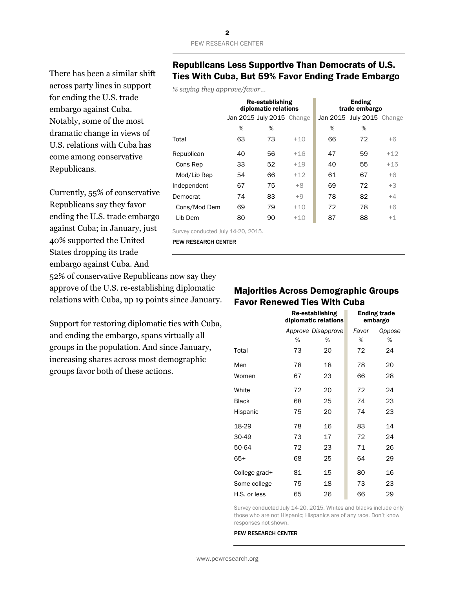There has been a similar shift across party lines in support for ending the U.S. trade embargo against Cuba. Notably, some of the most dramatic change in views of U.S. relations with Cuba has come among conservative Republicans.

Currently, 55% of conservative Republicans say they favor ending the U.S. trade embargo against Cuba; in January, just 40% supported the United States dropping its trade embargo against Cuba. And

52% of conservative Republicans now say they approve of the U.S. re-establishing diplomatic relations with Cuba, up 19 points since January.

Support for restoring diplomatic ties with Cuba, and ending the embargo, spans virtually all groups in the population. And since January, increasing shares across most demographic groups favor both of these actions.

### Republicans Less Supportive Than Democrats of U.S. Ties With Cuba, But 59% Favor Ending Trade Embargo

*% saying they approve/favor...*

|              |    | Re-establishing<br>diplomatic relations |       |    | <b>Ending</b><br>trade embargo |       |
|--------------|----|-----------------------------------------|-------|----|--------------------------------|-------|
|              |    | Jan 2015 July 2015 Change               |       |    | Jan 2015 July 2015 Change      |       |
|              | %  | %                                       |       | %  | %                              |       |
| Total        | 63 | 73                                      | $+10$ | 66 | 72                             | $+6$  |
| Republican   | 40 | 56                                      | $+16$ | 47 | 59                             | $+12$ |
| Cons Rep     | 33 | 52                                      | $+19$ | 40 | 55                             | $+15$ |
| Mod/Lib Rep  | 54 | 66                                      | $+12$ | 61 | 67                             | $+6$  |
| Independent  | 67 | 75                                      | $+8$  | 69 | 72                             | $+3$  |
| Democrat     | 74 | 83                                      | $+9$  | 78 | 82                             | $+4$  |
| Cons/Mod Dem | 69 | 79                                      | $+10$ | 72 | 78                             | $+6$  |
| Lib Dem      | 80 | 90                                      | $+10$ | 87 | 88                             | $+1$  |
|              |    |                                         |       |    |                                |       |

Survey conducted July 14-20, 2015.

PEW RESEARCH CENTER

## Majorities Across Demographic Groups Favor Renewed Ties With Cuba

|               |    | Re-establishing<br>diplomatic relations |       | <b>Ending trade</b><br>embargo |
|---------------|----|-----------------------------------------|-------|--------------------------------|
|               |    | Approve Disapprove                      | Favor | Oppose                         |
|               | %  | %                                       | %     | %                              |
| Total         | 73 | 20                                      | 72    | 24                             |
| Men           | 78 | 18                                      | 78    | 20                             |
| Women         | 67 | 23                                      | 66    | 28                             |
| White         | 72 | 20                                      | 72    | 24                             |
| <b>Black</b>  | 68 | 25                                      | 74    | 23                             |
| Hispanic      | 75 | 20                                      | 74    | 23                             |
| 18-29         | 78 | 16                                      | 83    | 14                             |
| 30-49         | 73 | 17                                      | 72    | 24                             |
| 50-64         | 72 | 23                                      | 71    | 26                             |
| 65+           | 68 | 25                                      | 64    | 29                             |
| College grad+ | 81 | 15                                      | 80    | 16                             |
| Some college  | 75 | 18                                      | 73    | 23                             |
| H.S. or less  | 65 | 26                                      | 66    | 29                             |

Survey conducted July 14-20, 2015. Whites and blacks include only those who are not Hispanic; Hispanics are of any race. Don't know responses not shown.

#### PEW RESEARCH CENTER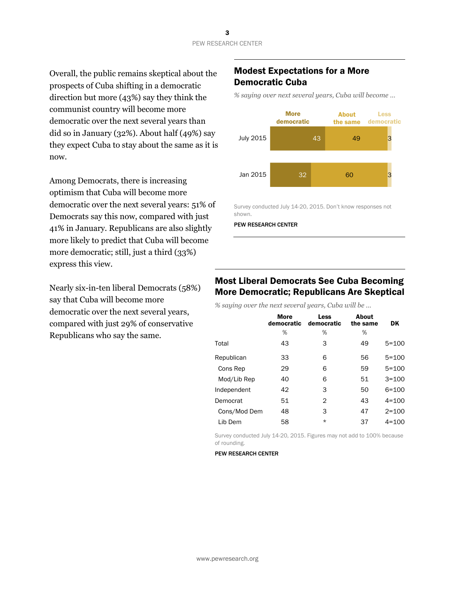Overall, the public remains skeptical about the prospects of Cuba shifting in a democratic direction but more (43%) say they think the communist country will become more democratic over the next several years than did so in January (32%). About half (49%) say they expect Cuba to stay about the same as it is now.

Among Democrats, there is increasing optimism that Cuba will become more democratic over the next several years: 51% of Democrats say this now, compared with just 41% in January. Republicans are also slightly more likely to predict that Cuba will become more democratic; still, just a third (33%) express this view.

Nearly six-in-ten liberal Democrats (58%) say that Cuba will become more democratic over the next several years, compared with just 29% of conservative Republicans who say the same.

## Modest Expectations for a More Democratic Cuba

*% saying over next several years, Cuba will become …*



Survey conducted July 14-20, 2015. Don't know responses not shown.

PEW RESEARCH CENTER

## Most Liberal Democrats See Cuba Becoming More Democratic; Republicans Are Skeptical

*% saying over the next several years, Cuba will be …*

| <b>More</b><br>democratic | Less<br>democratic | About<br>the same | <b>DK</b> |
|---------------------------|--------------------|-------------------|-----------|
| %                         | %                  | %                 |           |
| 43                        | 3                  | 49                | $5 = 100$ |
| 33                        | 6                  | 56                | $5 = 100$ |
| 29                        | 6                  | 59                | $5 = 100$ |
| 40                        | 6                  | 51                | $3 = 100$ |
| 42                        | 3                  | 50                | $6 = 100$ |
| 51                        | 2                  | 43                | $4 = 100$ |
| 48                        | 3                  | 47                | $2 = 100$ |
| 58                        | $\star$            | 37                | $4 = 100$ |
|                           |                    |                   |           |

Survey conducted July 14-20, 2015. Figures may not add to 100% because of rounding.

#### PEW RESEARCH CENTER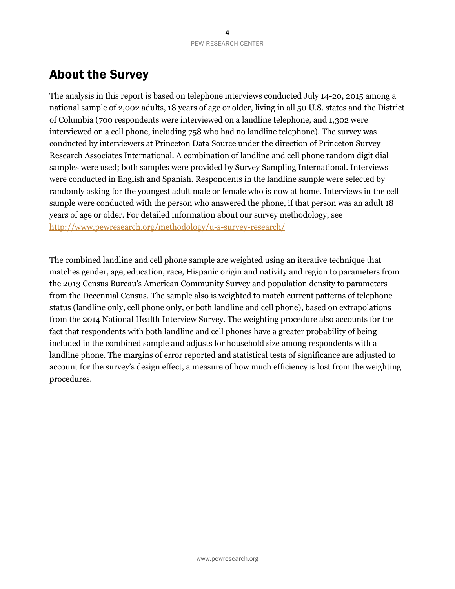# About the Survey

The analysis in this report is based on telephone interviews conducted July 14-20, 2015 among a national sample of 2,002 adults, 18 years of age or older, living in all 50 U.S. states and the District of Columbia (700 respondents were interviewed on a landline telephone, and 1,302 were interviewed on a cell phone, including 758 who had no landline telephone). The survey was conducted by interviewers at Princeton Data Source under the direction of Princeton Survey Research Associates International. A combination of landline and cell phone random digit dial samples were used; both samples were provided by Survey Sampling International. Interviews were conducted in English and Spanish. Respondents in the landline sample were selected by randomly asking for the youngest adult male or female who is now at home. Interviews in the cell sample were conducted with the person who answered the phone, if that person was an adult 18 years of age or older. For detailed information about our survey methodology, see <http://www.pewresearch.org/methodology/u-s-survey-research/>

The combined landline and cell phone sample are weighted using an iterative technique that matches gender, age, education, race, Hispanic origin and nativity and region to parameters from the 2013 Census Bureau's American Community Survey and population density to parameters from the Decennial Census. The sample also is weighted to match current patterns of telephone status (landline only, cell phone only, or both landline and cell phone), based on extrapolations from the 2014 National Health Interview Survey. The weighting procedure also accounts for the fact that respondents with both landline and cell phones have a greater probability of being included in the combined sample and adjusts for household size among respondents with a landline phone. The margins of error reported and statistical tests of significance are adjusted to account for the survey's design effect, a measure of how much efficiency is lost from the weighting procedures.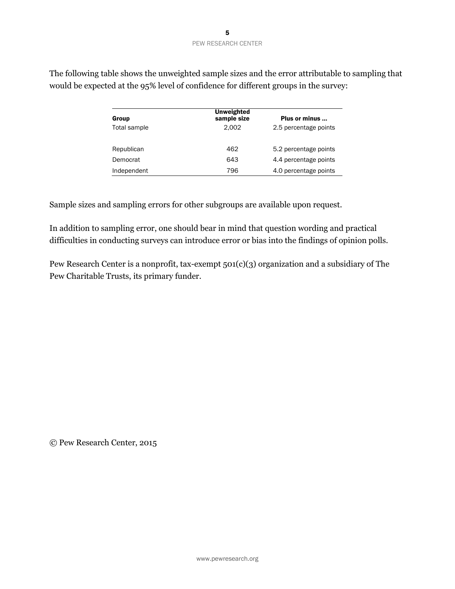| Group        | <b>Unweighted</b><br>sample size | Plus or minus         |
|--------------|----------------------------------|-----------------------|
| Total sample | 2.002                            | 2.5 percentage points |
| Republican   | 462                              | 5.2 percentage points |
| Democrat     | 643                              | 4.4 percentage points |
| Independent  | 796                              | 4.0 percentage points |

The following table shows the unweighted sample sizes and the error attributable to sampling that would be expected at the 95% level of confidence for different groups in the survey:

Sample sizes and sampling errors for other subgroups are available upon request.

In addition to sampling error, one should bear in mind that question wording and practical difficulties in conducting surveys can introduce error or bias into the findings of opinion polls.

Pew Research Center is a nonprofit, tax-exempt 501(c)(3) organization and a subsidiary of The Pew Charitable Trusts, its primary funder.

© Pew Research Center, 2015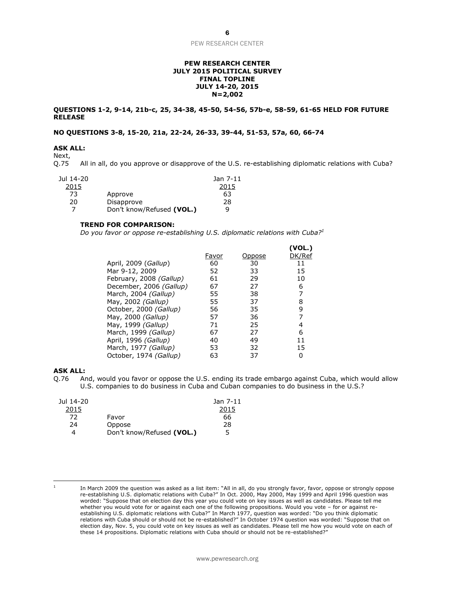#### **PEW RESEARCH CENTER JULY 2015 POLITICAL SURVEY FINAL TOPLINE JULY 14-20, 2015 N=2,002**

#### **QUESTIONS 1-2, 9-14, 21b-c, 25, 34-38, 45-50, 54-56, 57b-e, 58-59, 61-65 HELD FOR FUTURE RELEASE**

#### **NO QUESTIONS 3-8, 15-20, 21a, 22-24, 26-33, 39-44, 51-53, 57a, 60, 66-74**

#### **ASK ALL:**

Next,<br>Q.75 All in all, do you approve or disapprove of the U.S. re-establishing diplomatic relations with Cuba?

| Jul 14-20 |                           | Jan 7-11 |
|-----------|---------------------------|----------|
| 2015      |                           | 2015     |
| 73        | Approve                   | 63       |
| 20        | Disapprove                | 28       |
|           | Don't know/Refused (VOL.) | q        |

#### **TREND FOR COMPARISON:**

*Do you favor or oppose re-establishing U.S. diplomatic relations with Cuba?<sup>1</sup>*

|                         |       |        | (VOL.) |
|-------------------------|-------|--------|--------|
|                         | Favor | Oppose | DK/Ref |
| April, 2009 (Gallup)    | 60    | 30     | 11     |
| Mar 9-12, 2009          | 52    | 33     | 15     |
| February, 2008 (Gallup) | 61    | 29     | 10     |
| December, 2006 (Gallup) | 67    | 27     | 6      |
| March, 2004 (Gallup)    | 55    | 38     | 7      |
| May, 2002 (Gallup)      | 55    | 37     | 8      |
| October, 2000 (Gallup)  | 56    | 35     | 9      |
| May, 2000 (Gallup)      | 57    | 36     | 7      |
| May, 1999 (Gallup)      | 71    | 25     | 4      |
| March, 1999 (Gallup)    | 67    | 27     | 6      |
| April, 1996 (Gallup)    | 40    | 49     | 11     |
| March, 1977 (Gallup)    | 53    | 32     | 15     |
| October, 1974 (Gallup)  | 63    | 37     | 0      |

#### **ASK ALL:**

Q.76 And, would you favor or oppose the U.S. ending its trade embargo against Cuba, which would allow U.S. companies to do business in Cuba and Cuban companies to do business in the U.S.?

| Jul 14-20 |                           | Jan 7-11 |
|-----------|---------------------------|----------|
| 2015      |                           | 2015     |
| 72        | Favor                     | 66       |
| 24        | Oppose                    | 28       |
|           | Don't know/Refused (VOL.) | 5        |

 $\overline{a}$ 1

In March 2009 the question was asked as a list item: "All in all, do you strongly favor, favor, oppose or strongly oppose re-establishing U.S. diplomatic relations with Cuba?" In Oct. 2000, May 2000, May 1999 and April 1996 question was worded: "Suppose that on election day this year you could vote on key issues as well as candidates. Please tell me whether you would vote for or against each one of the following propositions. Would you vote – for or against reestablishing U.S. diplomatic relations with Cuba?" In March 1977, question was worded: "Do you think diplomatic relations with Cuba should or should not be re-established?" In October 1974 question was worded: "Suppose that on election day, Nov. 5, you could vote on key issues as well as candidates. Please tell me how you would vote on each of these 14 propositions. Diplomatic relations with Cuba should or should not be re-established?"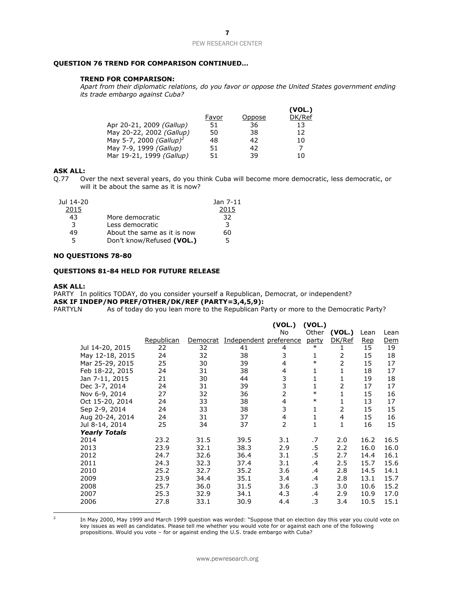#### **QUESTION 76 TREND FOR COMPARISON CONTINUED…**

#### **TREND FOR COMPARISON:**

*Apart from their diplomatic relations, do you favor or oppose the United States government ending its trade embargo against Cuba?*

|                                     |       |        | (VOL.) |
|-------------------------------------|-------|--------|--------|
|                                     | Favor | Oppose | DK/Ref |
| Apr 20-21, 2009 (Gallup)            | 51    | 36     | 13     |
| May 20-22, 2002 (Gallup)            | 50    | 38     | 12     |
| May 5-7, 2000 (Gallup) <sup>2</sup> | 48    | 42     | 10     |
| May 7-9, 1999 (Gallup)              | 51    | 42     | 7      |
| Mar 19-21, 1999 (Gallup)            | 51    | 39     | 10     |

#### **ASK ALL:**

Q.77 Over the next several years, do you think Cuba will become more democratic, less democratic, or will it be about the same as it is now?

| Jul 14-20 |                             | Jan 7-11 |
|-----------|-----------------------------|----------|
| 2015      |                             | 2015     |
| 43        | More democratic             | 32       |
| 3         | Less democratic             | 3        |
| 49        | About the same as it is now | 60       |
| 5.        | Don't know/Refused (VOL.)   | 5        |

#### **NO QUESTIONS 78-80**

#### **QUESTIONS 81-84 HELD FOR FUTURE RELEASE**

#### **ASK ALL:**

PARTY In politics TODAY, do you consider yourself a Republican, Democrat, or independent? **ASK IF INDEP/NO PREF/OTHER/DK/REF (PARTY=3,4,5,9):**

PARTYLN As of today do you lean more to the Republican Party or more to the Democratic Party?

|                      |            |          |                        | (VOL.)         | (VOL.) |        |      |      |
|----------------------|------------|----------|------------------------|----------------|--------|--------|------|------|
|                      |            |          |                        | No             | Other  | (VOL.) | Lean | Lean |
|                      | Republican | Democrat | Independent preference |                | party  | DK/Ref | Rep  | Dem  |
| Jul 14-20, 2015      | 22         | 32       | 41                     | 4              | $\ast$ | 1      | 15   | 19   |
| May 12-18, 2015      | 24         | 32       | 38                     | 3              | 1      | 2      | 15   | 18   |
| Mar 25-29, 2015      | 25         | 30       | 39                     | 4              | $\ast$ | 2      | 15   | 17   |
| Feb 18-22, 2015      | 24         | 31       | 38                     | 4              | 1      | 1      | 18   | 17   |
| Jan 7-11, 2015       | 21         | 30       | 44                     | 3              | 1      | 1      | 19   | 18   |
| Dec 3-7, 2014        | 24         | 31       | 39                     | 3              | 1      | 2      | 17   | 17   |
| Nov 6-9, 2014        | 27         | 32       | 36                     | $\overline{2}$ | $\ast$ | 1      | 15   | 16   |
| Oct 15-20, 2014      | 24         | 33       | 38                     | 4              | $\ast$ | 1      | 13   | 17   |
| Sep 2-9, 2014        | 24         | 33       | 38                     | 3              | 1      | 2      | 15   | 15   |
| Aug 20-24, 2014      | 24         | 31       | 37                     | $\overline{4}$ | 1      | 4      | 15   | 16   |
| Jul 8-14, 2014       | 25         | 34       | 37                     | $\overline{2}$ | 1      | 1      | 16   | 15   |
| <b>Yearly Totals</b> |            |          |                        |                |        |        |      |      |
| 2014                 | 23.2       | 31.5     | 39.5                   | 3.1            | .7     | 2.0    | 16.2 | 16.5 |
| 2013                 | 23.9       | 32.1     | 38.3                   | 2.9            | .5     | 2.2    | 16.0 | 16.0 |
| 2012                 | 24.7       | 32.6     | 36.4                   | 3.1            | .5     | 2.7    | 14.4 | 16.1 |
| 2011                 | 24.3       | 32.3     | 37.4                   | 3.1            | .4     | 2.5    | 15.7 | 15.6 |
| 2010                 | 25.2       | 32.7     | 35.2                   | 3.6            | .4     | 2.8    | 14.5 | 14.1 |
| 2009                 | 23.9       | 34.4     | 35.1                   | 3.4            | .4     | 2.8    | 13.1 | 15.7 |
| 2008                 | 25.7       | 36.0     | 31.5                   | 3.6            | .3     | 3.0    | 10.6 | 15.2 |
| 2007                 | 25.3       | 32.9     | 34.1                   | 4.3            | .4     | 2.9    | 10.9 | 17.0 |
| 2006                 | 27.8       | 33.1     | 30.9                   | 4.4            | .3     | 3.4    | 10.5 | 15.1 |

 $\frac{1}{2}$ 

In May 2000, May 1999 and March 1999 question was worded: "Suppose that on election day this year you could vote on key issues as well as candidates. Please tell me whether you would vote for or against each one of the following propositions. Would you vote - for or against ending the U.S. trade embargo with Cuba?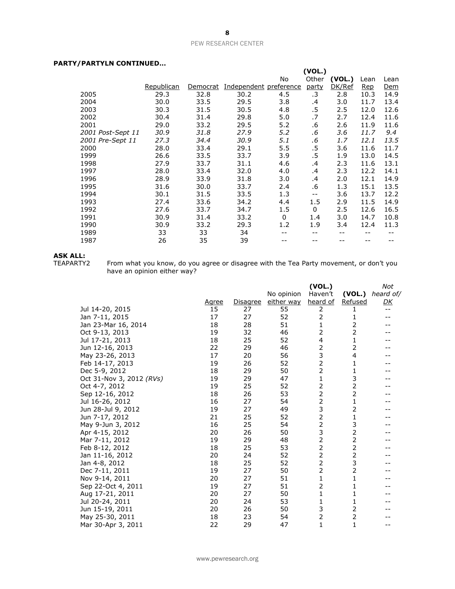#### **PARTY/PARTYLN CONTINUED…**

| , ART LER CORTEROLD |            |          |                        |              |        |        |      |            |
|---------------------|------------|----------|------------------------|--------------|--------|--------|------|------------|
|                     |            |          |                        |              | (VOL.) |        |      |            |
|                     |            |          |                        | No           | Other  | (VOL.) | Lean | Lean       |
|                     | Republican | Democrat | Independent preference |              | party  | DK/Ref | Rep  | <u>Dem</u> |
| 2005                | 29.3       | 32.8     | 30.2                   | 4.5          | .3     | 2.8    | 10.3 | 14.9       |
| 2004                | 30.0       | 33.5     | 29.5                   | 3.8          | .4     | 3.0    | 11.7 | 13.4       |
| 2003                | 30.3       | 31.5     | 30.5                   | 4.8          | .5     | 2.5    | 12.0 | 12.6       |
| 2002                | 30.4       | 31.4     | 29.8                   | 5.0          | .7     | 2.7    | 12.4 | 11.6       |
| 2001                | 29.0       | 33.2     | 29.5                   | 5.2          | .6     | 2.6    | 11.9 | 11.6       |
| 2001 Post-Sept 11   | 30.9       | 31.8     | 27.9                   | 5.2          | .6     | 3.6    | 11.7 | 9.4        |
| 2001 Pre-Sept 11    | 27.3       | 34.4     | 30.9                   | 5.1          | .6     | 1.7    | 12.1 | 13.5       |
| 2000                | 28.0       | 33.4     | 29.1                   | 5.5          | .5     | 3.6    | 11.6 | 11.7       |
| 1999                | 26.6       | 33.5     | 33.7                   | 3.9          | .5     | 1.9    | 13.0 | 14.5       |
| 1998                | 27.9       | 33.7     | 31.1                   | 4.6          | .4     | 2.3    | 11.6 | 13.1       |
| 1997                | 28.0       | 33.4     | 32.0                   | 4.0          | .4     | 2.3    | 12.2 | 14.1       |
| 1996                | 28.9       | 33.9     | 31.8                   | 3.0          | .4     | 2.0    | 12.1 | 14.9       |
| 1995                | 31.6       | 30.0     | 33.7                   | 2.4          | .6     | 1.3    | 15.1 | 13.5       |
| 1994                | 30.1       | 31.5     | 33.5                   | 1.3          | $-$    | 3.6    | 13.7 | 12.2       |
| 1993                | 27.4       | 33.6     | 34.2                   | 4.4          | 1.5    | 2.9    | 11.5 | 14.9       |
| 1992                | 27.6       | 33.7     | 34.7                   | 1.5          | 0      | 2.5    | 12.6 | 16.5       |
| 1991                | 30.9       | 31.4     | 33.2                   | $\mathbf{0}$ | 1.4    | 3.0    | 14.7 | 10.8       |
| 1990                | 30.9       | 33.2     | 29.3                   | 1.2          | 1.9    | 3.4    | 12.4 | 11.3       |
| 1989                | 33         | 33       | 34                     |              |        |        |      |            |
| 1987                | 26         | 35       | 39                     |              |        |        |      |            |
|                     |            |          |                        |              |        |        |      |            |

# **ASK ALL:**<br>TEAPARTY2

TEAPARTY2 From what you know, do you agree or disagree with the Tea Party movement, or don't you have an opinion either way?

|                          |       |          |            | (VOL.)         |                | Not               |
|--------------------------|-------|----------|------------|----------------|----------------|-------------------|
|                          |       |          | No opinion | Haven't        | (VOL.)         | heard of/         |
|                          | Agree | Disagree | either way | heard of       | <b>Refused</b> | <u>DК</u>         |
| Jul 14-20, 2015          | 15    | 27       | 55         | 2              | 1              | $\qquad \qquad -$ |
| Jan 7-11, 2015           | 17    | 27       | 52         | $\overline{2}$ | 1              |                   |
| Jan 23-Mar 16, 2014      | 18    | 28       | 51         | $\mathbf{1}$   | 2              |                   |
| Oct 9-13, 2013           | 19    | 32       | 46         | $\overline{2}$ | $\overline{2}$ |                   |
| Jul 17-21, 2013          | 18    | 25       | 52         | 4              | 1              |                   |
| Jun 12-16, 2013          | 22    | 29       | 46         | 2              | 2              |                   |
| May 23-26, 2013          | 17    | 20       | 56         | 3              | 4              |                   |
| Feb 14-17, 2013          | 19    | 26       | 52         | 2              | 1              |                   |
| Dec 5-9, 2012            | 18    | 29       | 50         | $\overline{2}$ | 1              |                   |
| Oct 31-Nov 3, 2012 (RVs) | 19    | 29       | 47         | $\mathbf{1}$   | 3              |                   |
| Oct 4-7, 2012            | 19    | 25       | 52         | 2              | 2              |                   |
| Sep 12-16, 2012          | 18    | 26       | 53         | $\overline{2}$ | $\overline{2}$ |                   |
| Jul 16-26, 2012          | 16    | 27       | 54         | $\overline{2}$ | 1              |                   |
| Jun 28-Jul 9, 2012       | 19    | 27       | 49         | 3              | 2              |                   |
| Jun 7-17, 2012           | 21    | 25       | 52         | $\overline{2}$ | 1              |                   |
| May 9-Jun 3, 2012        | 16    | 25       | 54         | 2              | 3              |                   |
| Apr 4-15, 2012           | 20    | 26       | 50         | 3              | 2              |                   |
| Mar 7-11, 2012           | 19    | 29       | 48         | $\overline{2}$ | 2              |                   |
| Feb 8-12, 2012           | 18    | 25       | 53         | 2              | $\overline{2}$ |                   |
| Jan 11-16, 2012          | 20    | 24       | 52         | $\overline{2}$ | $\overline{2}$ |                   |
| Jan 4-8, 2012            | 18    | 25       | 52         | $\overline{2}$ | 3              |                   |
| Dec 7-11, 2011           | 19    | 27       | 50         | $\overline{2}$ | $\overline{2}$ |                   |
| Nov 9-14, 2011           | 20    | 27       | 51         | 1              | 1              |                   |
| Sep 22-Oct 4, 2011       | 19    | 27       | 51         | $\overline{2}$ | 1              |                   |
| Aug 17-21, 2011          | 20    | 27       | 50         | 1              | 1              |                   |
| Jul 20-24, 2011          | 20    | 24       | 53         | 1              | 1              |                   |
| Jun 15-19, 2011          | 20    | 26       | 50         | 3              | 2              |                   |
| May 25-30, 2011          | 18    | 23       | 54         | $\overline{2}$ | $\overline{2}$ |                   |
| Mar 30-Apr 3, 2011       | 22    | 29       | 47         | 1              | 1              | --                |